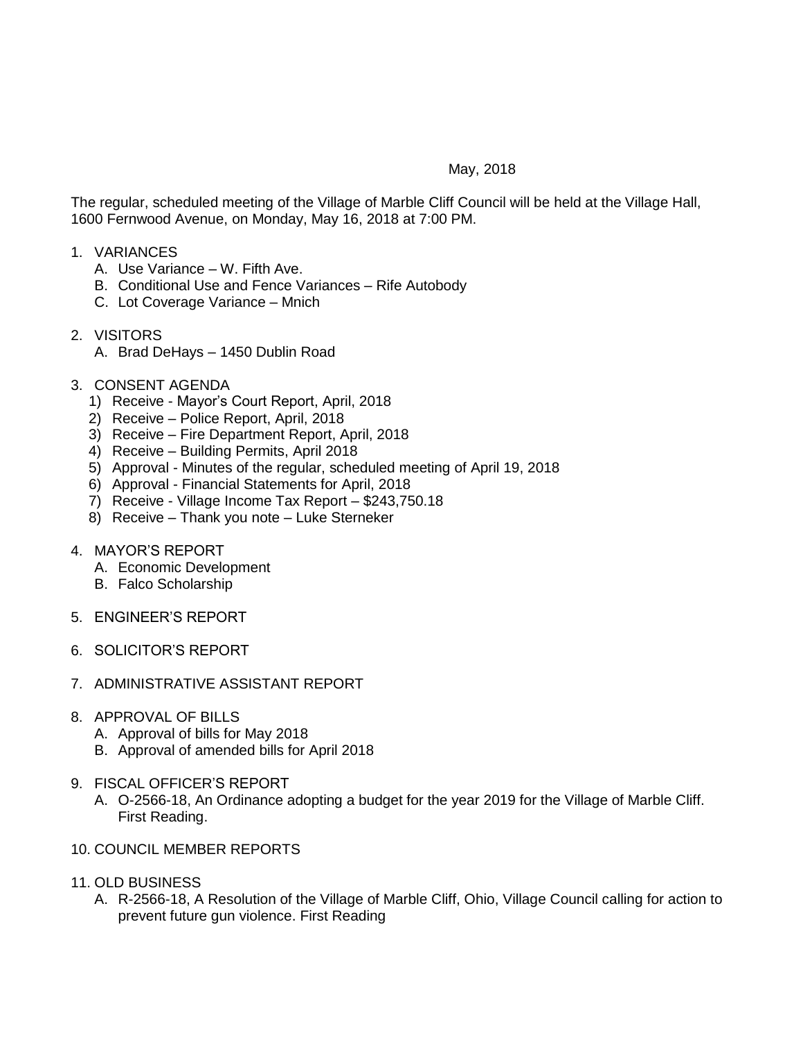## May, 2018

The regular, scheduled meeting of the Village of Marble Cliff Council will be held at the Village Hall, 1600 Fernwood Avenue, on Monday, May 16, 2018 at 7:00 PM.

## 1. VARIANCES

- A. Use Variance W. Fifth Ave.
- B. Conditional Use and Fence Variances Rife Autobody
- C. Lot Coverage Variance Mnich
- 2. VISITORS
	- A. Brad DeHays 1450 Dublin Road
- 3. CONSENT AGENDA
	- 1) Receive Mayor's Court Report, April, 2018
	- 2) Receive Police Report, April, 2018
	- 3) Receive Fire Department Report, April, 2018
	- 4) Receive Building Permits, April 2018
	- 5) Approval Minutes of the regular, scheduled meeting of April 19, 2018
	- 6) Approval Financial Statements for April, 2018
	- 7) Receive Village Income Tax Report \$243,750.18
	- 8) Receive Thank you note Luke Sterneker

## 4. MAYOR'S REPORT

- A. Economic Development
- B. Falco Scholarship
- 5. ENGINEER'S REPORT
- 6. SOLICITOR'S REPORT
- 7. ADMINISTRATIVE ASSISTANT REPORT
- 8. APPROVAL OF BILLS
	- A. Approval of bills for May 2018
	- B. Approval of amended bills for April 2018
- 9. FISCAL OFFICER'S REPORT
	- A. O-2566-18, An Ordinance adopting a budget for the year 2019 for the Village of Marble Cliff. First Reading.
- 10. COUNCIL MEMBER REPORTS
- 11. OLD BUSINESS
	- A. R-2566-18, A Resolution of the Village of Marble Cliff, Ohio, Village Council calling for action to prevent future gun violence. First Reading